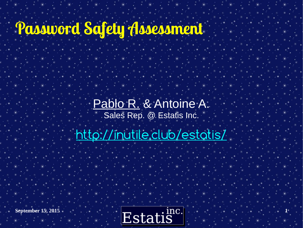### **Password Safety Assessment**

Pablo R. & Antoine A. Sales Rep. @ Estatis Inc.

<http://inutile.club/estatis/>

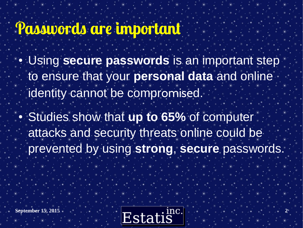#### **Passwords are important**

- Using **secure passwords** is an important step to ensure that your **personal data** and online identity cannot be compromised.
- **Studies show that up to 65% of computer** attacks and security threats online could be prevented by using **strong**, **secure** passwords.

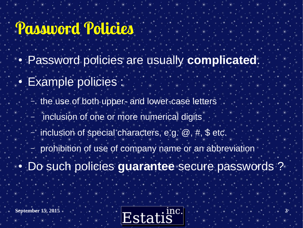### **Password Policies**

- **Password policies are usually complicated.**
- **Example policies** 
	- the use of both upper- and lower-case letters
	- inclusion of one or more numerical digits
	- inclusion of special characters, e.g.  $\omega$ , #, \$ etc.
	- prohibition of use of company name or an abbreviation
- Do such policies **guarantee** secure passwords ?

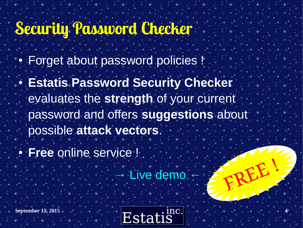# **Security Password Checker**

- **Forget about password policies !**
- **Estatis Password Security Checker** evaluates the **strength** of your current password and offers **suggestions** about possible **attack vectors**.
- **Free online service !** 
	- Live demo